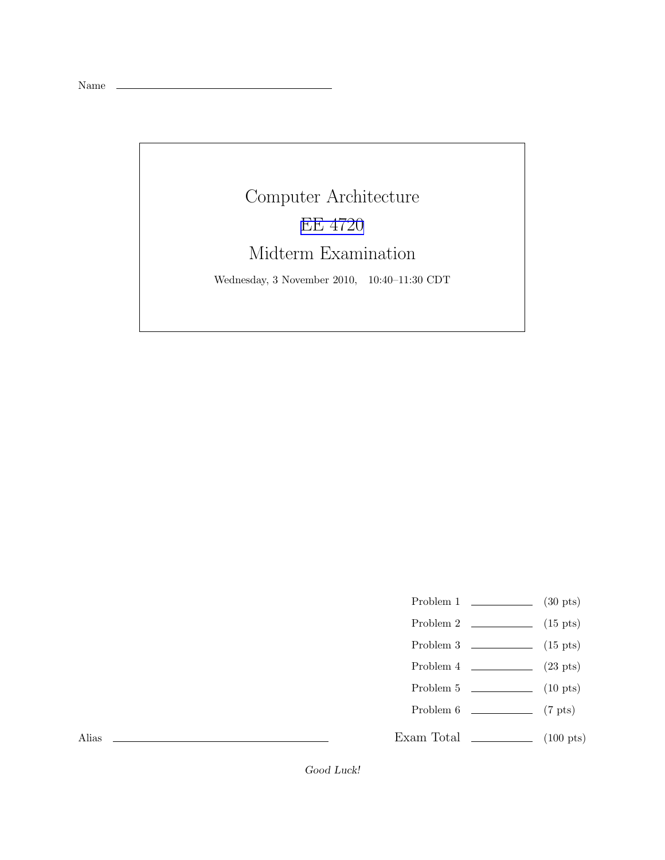Name

## Computer Architecture [EE 4720](http://www.ece.lsu.edu/ee4720/) Midterm Examination

Wednesday, 3 November 2010, 10:40–11:30 CDT

- Problem 1  $\qquad \qquad$  (30 pts)
- Problem 2 (15 pts)
- Problem  $3 \t\t(15 \text{ pts})$
- Problem 4  $\qquad \qquad (23 \text{ pts})$
- Problem 5  $\qquad \qquad$  (10 pts)
- Problem 6 (7 pts)
- Exam Total (100 pts)

Alias

Good Luck!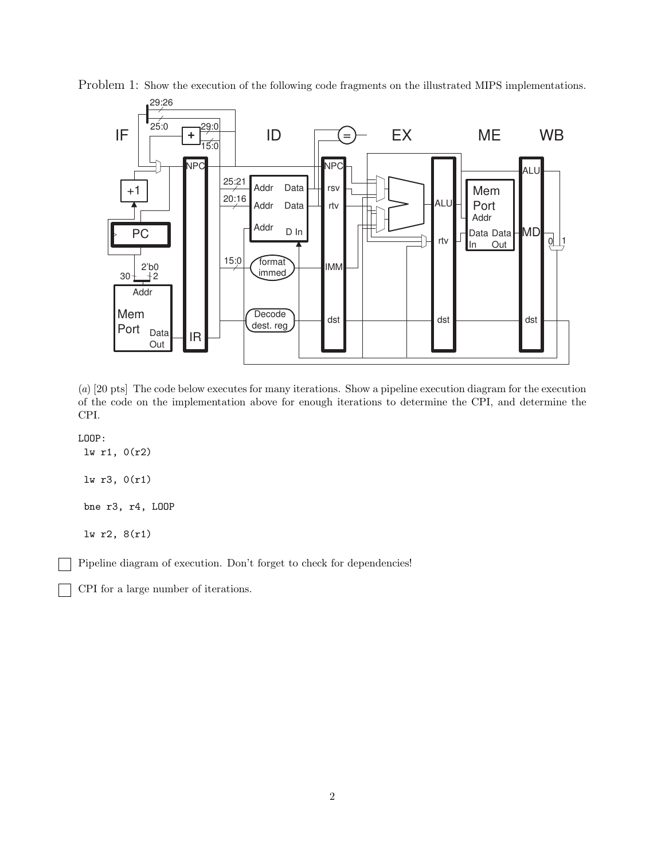

Problem 1: Show the execution of the following code fragments on the illustrated MIPS implementations.

(a) [20 pts] The code below executes for many iterations. Show a pipeline execution diagram for the execution of the code on the implementation above for enough iterations to determine the CPI, and determine the CPI.

LOOP:

lw r1, 0(r2) lw r3, 0(r1) bne r3, r4, LOOP lw r2, 8(r1)

Pipeline diagram of execution. Don't forget to check for dependencies!

CPI for a large number of iterations.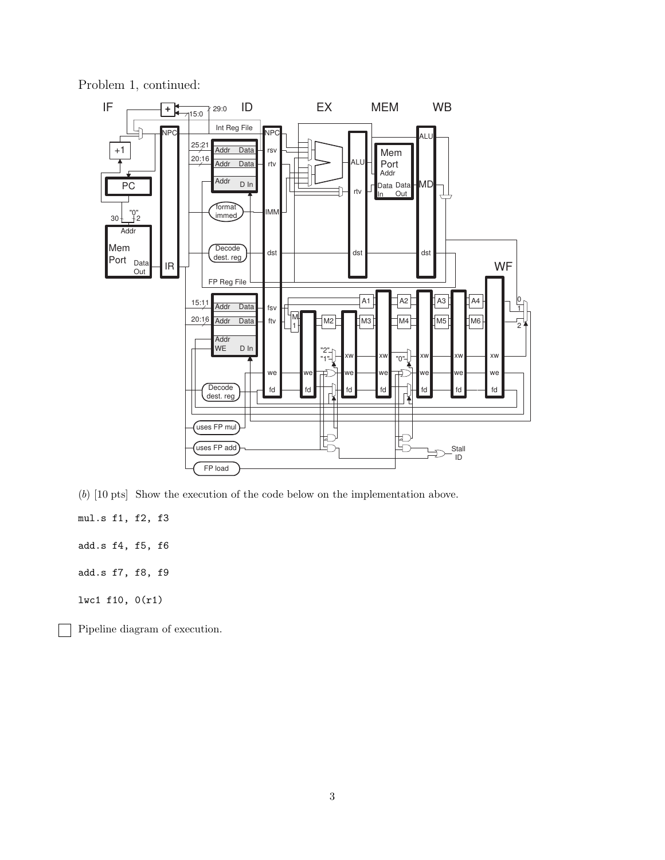

Problem 1, continued:

(b) [10 pts] Show the execution of the code below on the implementation above.

mul.s f1, f2, f3

add.s f4, f5, f6

add.s f7, f8, f9

lwc1 f10, 0(r1)

Pipeline diagram of execution.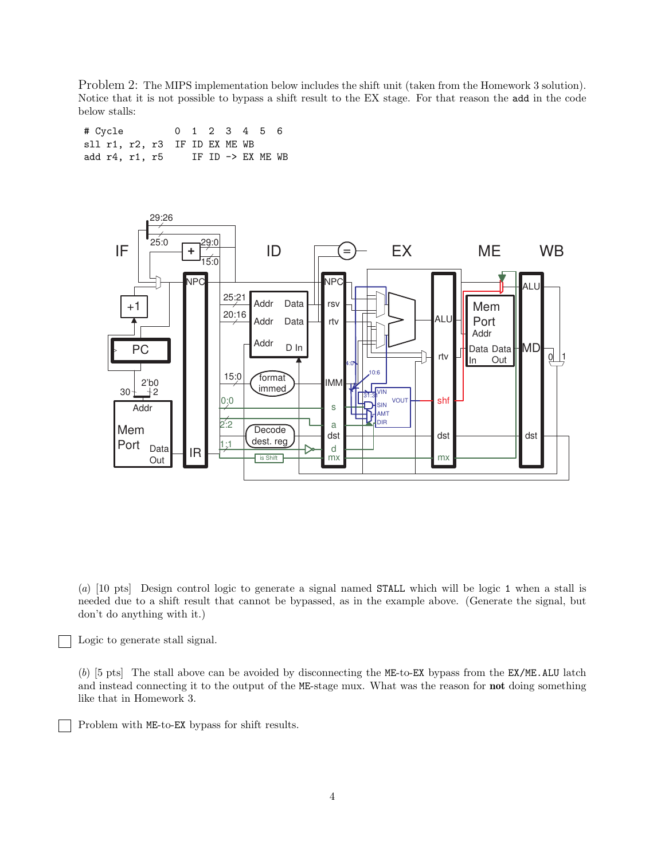Problem 2: The MIPS implementation below includes the shift unit (taken from the Homework 3 solution). Notice that it is not possible to bypass a shift result to the EX stage. For that reason the add in the code below stalls:

# Cycle 0 1 2 3 4 5 6 sll r1, r2, r3 IF ID EX ME WB add  $r4$ ,  $r1$ ,  $r5$  IF ID  $\rightarrow$  EX ME WB



(a) [10 pts] Design control logic to generate a signal named STALL which will be logic 1 when a stall is needed due to a shift result that cannot be bypassed, as in the example above. (Generate the signal, but don't do anything with it.)

Logic to generate stall signal.

(b) [5 pts] The stall above can be avoided by disconnecting the ME-to-EX bypass from the EX/ME.ALU latch and instead connecting it to the output of the ME-stage mux. What was the reason for not doing something like that in Homework 3.

Problem with ME-to-EX bypass for shift results.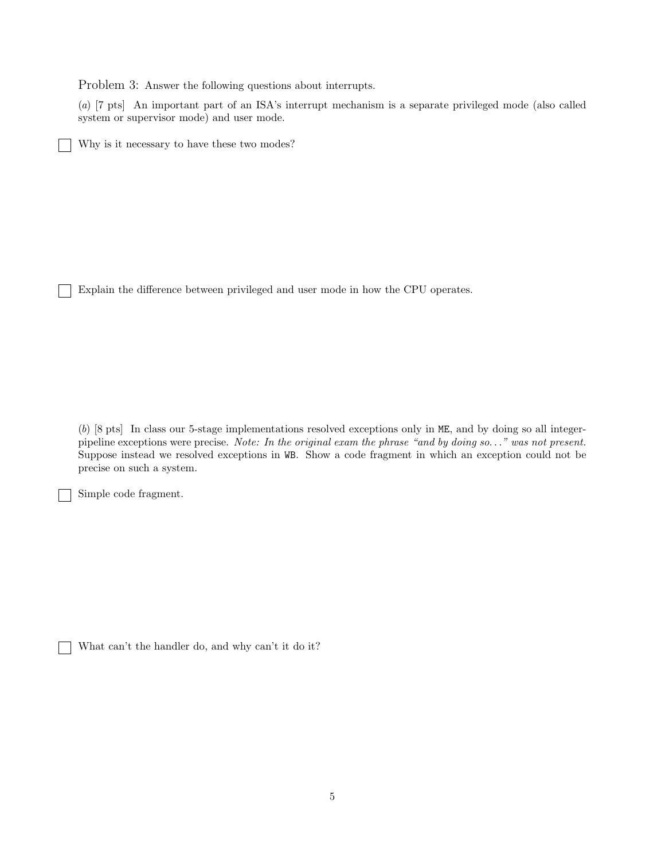Problem 3: Answer the following questions about interrupts.

(a) [7 pts] An important part of an ISA's interrupt mechanism is a separate privileged mode (also called system or supervisor mode) and user mode.

Why is it necessary to have these two modes?

Explain the difference between privileged and user mode in how the CPU operates.

(b) [8 pts] In class our 5-stage implementations resolved exceptions only in ME, and by doing so all integerpipeline exceptions were precise. Note: In the original exam the phrase "and by doing so..." was not present. Suppose instead we resolved exceptions in WB. Show a code fragment in which an exception could not be precise on such a system.

Simple code fragment.

 $\Box$ 

What can't the handler do, and why can't it do it?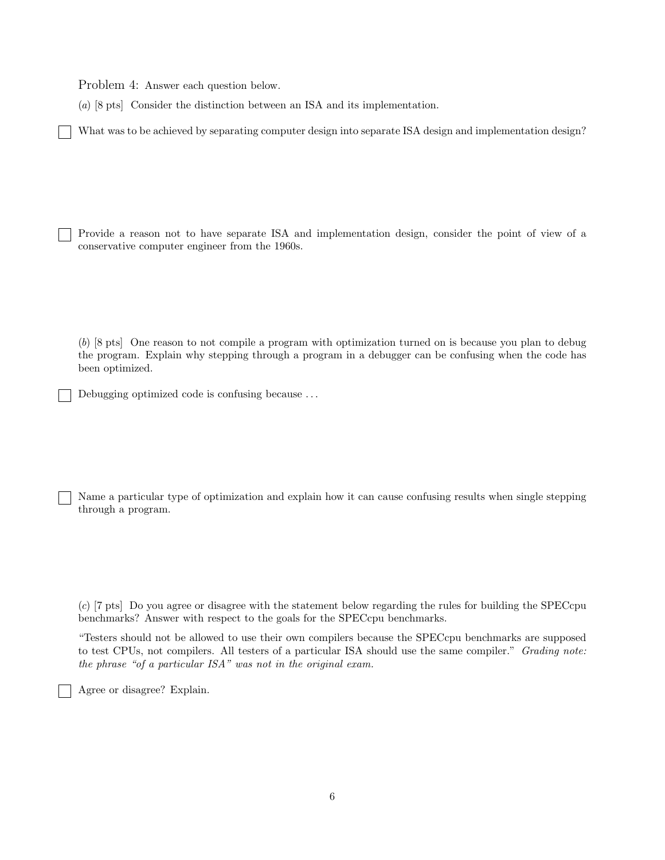Problem 4: Answer each question below.

(a) [8 pts] Consider the distinction between an ISA and its implementation.

What was to be achieved by separating computer design into separate ISA design and implementation design?

Provide a reason not to have separate ISA and implementation design, consider the point of view of a conservative computer engineer from the 1960s.

(b) [8 pts] One reason to not compile a program with optimization turned on is because you plan to debug the program. Explain why stepping through a program in a debugger can be confusing when the code has been optimized.

Debugging optimized code is confusing because ...

Name a particular type of optimization and explain how it can cause confusing results when single stepping through a program.

(c) [7 pts] Do you agree or disagree with the statement below regarding the rules for building the SPECcpu benchmarks? Answer with respect to the goals for the SPECcpu benchmarks.

"Testers should not be allowed to use their own compilers because the SPECcpu benchmarks are supposed to test CPUs, not compilers. All testers of a particular ISA should use the same compiler." Grading note: the phrase "of a particular ISA" was not in the original exam.

Agree or disagree? Explain.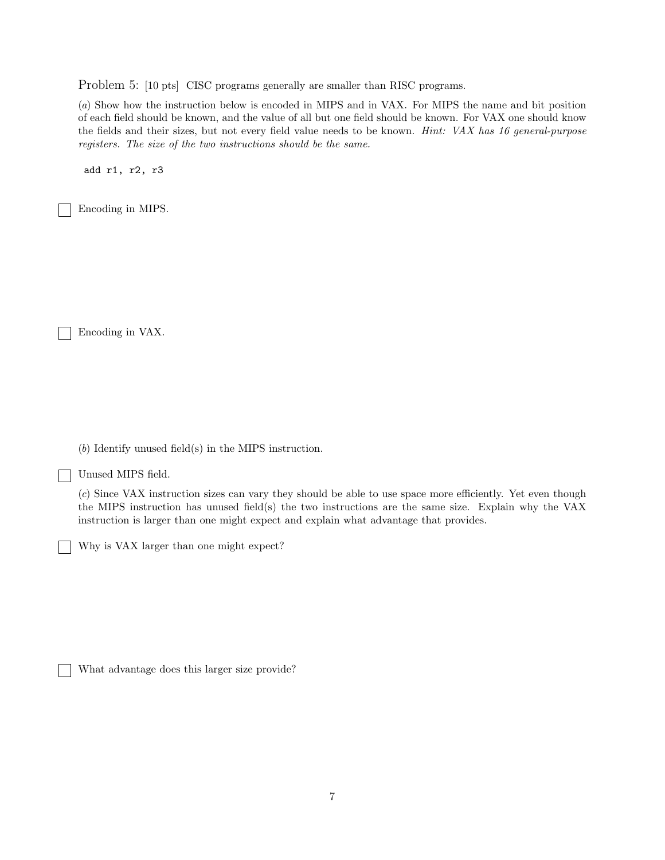Problem 5: [10 pts] CISC programs generally are smaller than RISC programs.

(a) Show how the instruction below is encoded in MIPS and in VAX. For MIPS the name and bit position of each field should be known, and the value of all but one field should be known. For VAX one should know the fields and their sizes, but not every field value needs to be known. *Hint: VAX has 16 general-purpose* registers. The size of the two instructions should be the same.

add r1, r2, r3

Encoding in MIPS.

Encoding in VAX.

(b) Identify unused field(s) in the MIPS instruction.

Unused MIPS field.

(c) Since VAX instruction sizes can vary they should be able to use space more efficiently. Yet even though the MIPS instruction has unused field(s) the two instructions are the same size. Explain why the VAX instruction is larger than one might expect and explain what advantage that provides.

Why is VAX larger than one might expect?

What advantage does this larger size provide?